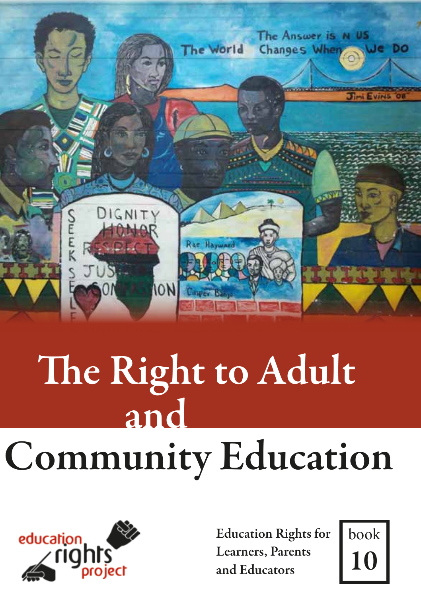

# The Right to Adult and Community Education



Education Rights for Learners, Parents and Educators

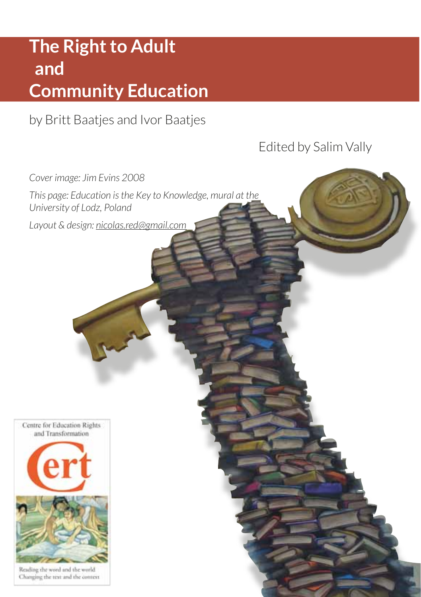## **The Right to Adult and Community Education**

by Britt Baatjes and Ivor Baatjes

Edited by Salim Vally

*Cover image: Jim Evins 2008*

*This page: Education is the Key to Knowledge, mural at the University of Lodz, Poland*

*Layout & design: nicolas.red@gmail.com*



Reading the word and the world Changing the text and the context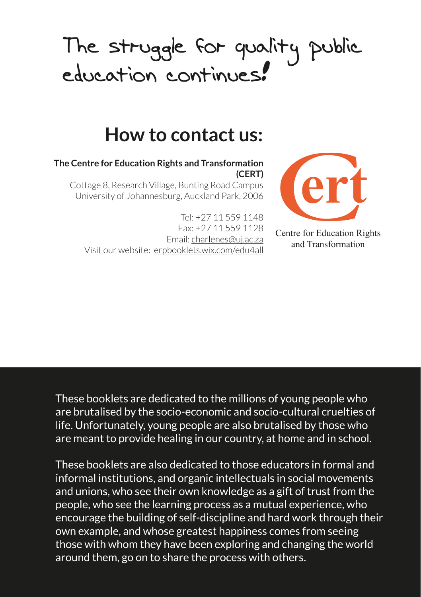## The struggle for quality public education continues!

## **How to contact us:**

**The Centre for Education Rights and Transformation (CERT)**

Cottage 8, Research Village, Bunting Road Campus University of Johannesburg, Auckland Park, 2006

Tel: +27 11 559 1148 Fax: +27 11 559 1128 Email: charlenes@uj.ac.za Visit our website: erpbooklets.wix.com/edu4all



Centre for Education Rights and Transformation

These booklets are dedicated to the millions of young people who are brutalised by the socio-economic and socio-cultural cruelties of life. Unfortunately, young people are also brutalised by those who are meant to provide healing in our country, at home and in school.

These booklets are also dedicated to those educators in formal and informal institutions, and organic intellectuals in social movements and unions, who see their own knowledge as a gift of trust from the people, who see the learning process as a mutual experience, who encourage the building of self-discipline and hard work through their own example, and whose greatest happiness comes from seeing those with whom they have been exploring and changing the world around them, go on to share the process with others.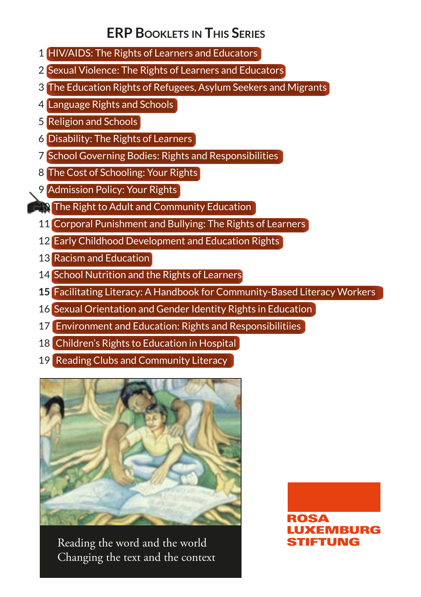### **ERP Booklets in This Series**

- 1 HIV/AIDS: The Rights of Learners and Educators
- 2 Sexual Violence: The Rights of Learners and Educators
- 3 The Education Rights of Refugees, Asylum Seekers and Migrants
- 4 Language Rights and Schools
- 5 Religion and Schools
- 6 Disability: The Rights of Learners
- 7 School Governing Bodies: Rights and Responsibilities
- 8 The Cost of Schooling: Your Rights
- 9 Admission Policy: Your Rights
- 10 The Right to Adult and Community Education
- 11 Corporal Punishment and Bullying: The Rights of Learners
- 12 Early Childhood Development and Education Rights
- 13 Racism and Education
- 14 School Nutrition and the Rights of Learners
- **15** Facilitating Literacy: A Handbook for Community-Based Literacy Workers
- 16. Sexual Orientation and Gender Identity Rights in Education
- 17 Environment and Education: Rights and Responsibilitiies
- 18 Children's Rights to Education in Hospital
- 19 Reading Clubs and Community Literacy



Reading the word and the world Changing the text and the context ROSA MRURG TUNG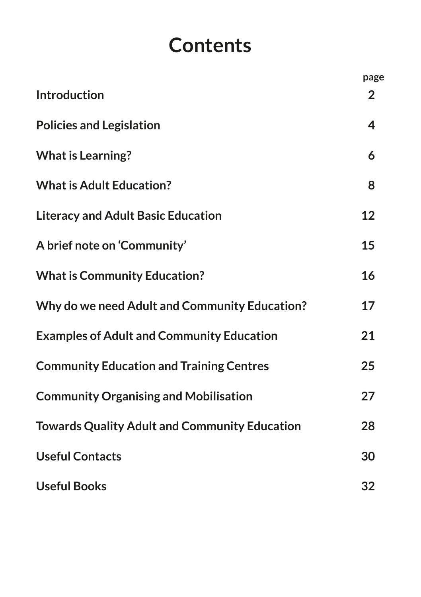## **Contents**

|                                                      | page           |
|------------------------------------------------------|----------------|
| Introduction                                         | $\overline{2}$ |
| <b>Policies and Legislation</b>                      | 4              |
| <b>What is Learning?</b>                             | 6              |
| <b>What is Adult Education?</b>                      | 8              |
| <b>Literacy and Adult Basic Education</b>            | 12             |
| A brief note on 'Community'                          | 15             |
| <b>What is Community Education?</b>                  | 16             |
| Why do we need Adult and Community Education?        | 17             |
| <b>Examples of Adult and Community Education</b>     | 21             |
| <b>Community Education and Training Centres</b>      | 25             |
| <b>Community Organising and Mobilisation</b>         | 27             |
| <b>Towards Quality Adult and Community Education</b> | 28             |
| <b>Useful Contacts</b>                               | 30             |
| <b>Useful Books</b>                                  | 32             |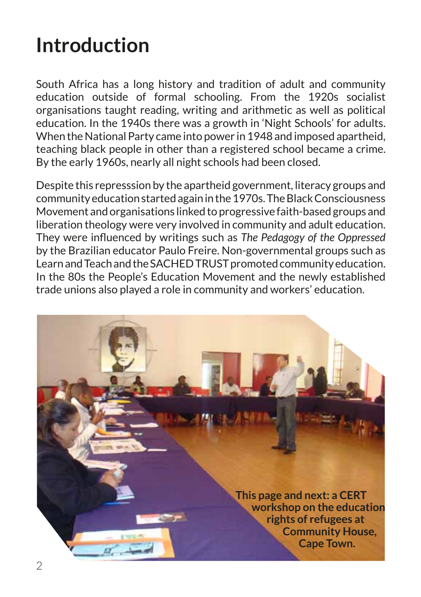## **Introduction**

South Africa has a long history and tradition of adult and community education outside of formal schooling. From the 1920s socialist organisations taught reading, writing and arithmetic as well as political education. In the 1940s there was a growth in 'Night Schools' for adults. When the National Party came into power in 1948 and imposed apartheid, teaching black people in other than a registered school became a crime. By the early 1960s, nearly all night schools had been closed.

Despite this represssion by the apartheid government, literacy groups and community education started again in the 1970s. The Black Consciousness Movement and organisations linked to progressive faith-based groups and liberation theology were very involved in community and adult education. They were influenced by writings such as *The Pedagogy of the Oppressed* by the Brazilian educator Paulo Freire. Non-governmental groups such as Learn and Teach and the SACHED TRUST promoted community education. In the 80s the People's Education Movement and the newly established trade unions also played a role in community and workers' education.

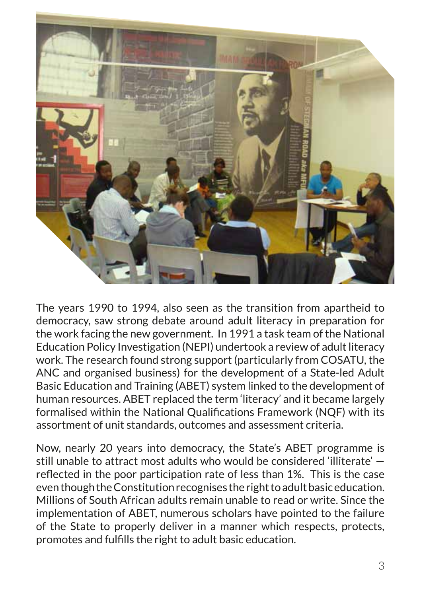

The years 1990 to 1994, also seen as the transition from apartheid to democracy, saw strong debate around adult literacy in preparation for the work facing the new government. In 1991 a task team of the National Education Policy Investigation (NEPI) undertook a review of adult literacy work. The research found strong support (particularly from COSATU, the ANC and organised business) for the development of a State-led Adult Basic Education and Training (ABET) system linked to the development of human resources. ABET replaced the term 'literacy' and it became largely formalised within the National Qualifications Framework (NQF) with its assortment of unit standards, outcomes and assessment criteria.

Now, nearly 20 years into democracy, the State's ABET programme is still unable to attract most adults who would be considered 'illiterate' reflected in the poor participation rate of less than 1%. This is the case even though the Constitution recognises the right to adult basic education. Millions of South African adults remain unable to read or write. Since the implementation of ABET, numerous scholars have pointed to the failure of the State to properly deliver in a manner which respects, protects, promotes and fulfills the right to adult basic education.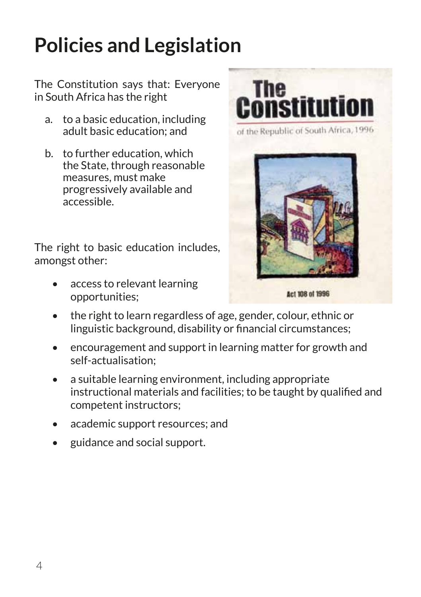## **Policies and Legislation**

The Constitution says that: Everyone in South Africa has the right

- a. to a basic education, including adult basic education; and
- b. to further education, which the State, through reasonable measures, must make progressively available and accessible.

The right to basic education includes, amongst other:

> access to relevant learning opportunities;





**Act 108 of 1996** 

- the right to learn regardless of age, gender, colour, ethnic or linguistic background, disability or financial circumstances;
- encouragement and support in learning matter for growth and self-actualisation;
- a suitable learning environment, including appropriate instructional materials and facilities; to be taught by qualified and competent instructors;
- academic support resources; and
- guidance and social support.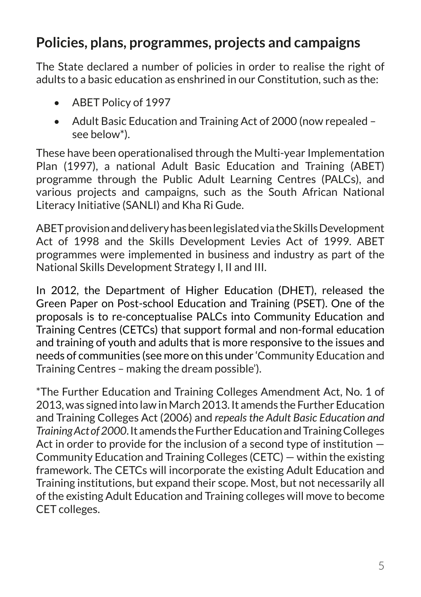### **Policies, plans, programmes, projects and campaigns**

The State declared a number of policies in order to realise the right of adults to a basic education as enshrined in our Constitution, such as the:

- ABET Policy of 1997
- Adult Basic Education and Training Act of 2000 (now repealed see below\*).

These have been operationalised through the Multi-year Implementation Plan (1997), a national Adult Basic Education and Training (ABET) programme through the Public Adult Learning Centres (PALCs), and various projects and campaigns, such as the South African National Literacy Initiative (SANLI) and Kha Ri Gude.

ABET provision and delivery has been legislated via the Skills Development Act of 1998 and the Skills Development Levies Act of 1999. ABET programmes were implemented in business and industry as part of the National Skills Development Strategy I, II and III.

In 2012, the Department of Higher Education (DHET), released the Green Paper on Post-school Education and Training (PSET). One of the proposals is to re-conceptualise PALCs into Community Education and Training Centres (CETCs) that support formal and non-formal education and training of youth and adults that is more responsive to the issues and needs of communities (see more on this under 'Community Education and Training Centres – making the dream possible').

\*The Further Education and Training Colleges Amendment Act, No. 1 of 2013, was signed into law in March 2013. It amends the Further Education and Training Colleges Act (2006) and *repeals the Adult Basic Education and Training Act of 2000*. It amends the Further Education and Training Colleges Act in order to provide for the inclusion of a second type of institution  $-$ Community Education and Training Colleges (CETC) — within the existing framework. The CETCs will incorporate the existing Adult Education and Training institutions, but expand their scope. Most, but not necessarily all of the existing Adult Education and Training colleges will move to become CET colleges.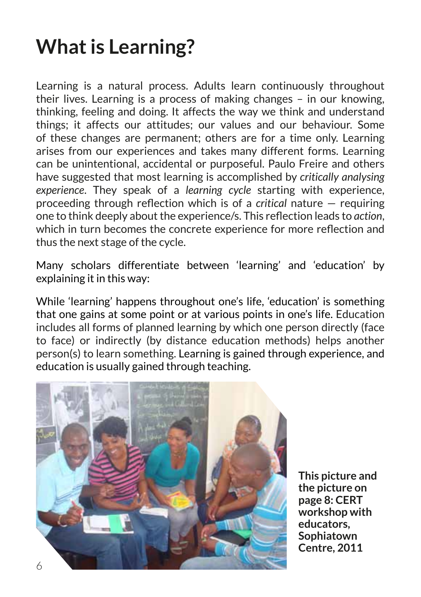## **What is Learning?**

Learning is a natural process. Adults learn continuously throughout their lives. Learning is a process of making changes – in our knowing, thinking, feeling and doing. It affects the way we think and understand things; it affects our attitudes; our values and our behaviour. Some of these changes are permanent; others are for a time only. Learning arises from our experiences and takes many different forms. Learning can be unintentional, accidental or purposeful. Paulo Freire and others have suggested that most learning is accomplished by *critically analysing experience*. They speak of a *learning cycle* starting with experience, proceeding through reflection which is of a *critical* nature — requiring one to think deeply about the experience/s. This reflection leads to *action*, which in turn becomes the concrete experience for more reflection and thus the next stage of the cycle.

Many scholars differentiate between 'learning' and 'education' by explaining it in this way:

While 'learning' happens throughout one's life, 'education' is something that one gains at some point or at various points in one's life. Education includes all forms of planned learning by which one person directly (face to face) or indirectly (by distance education methods) helps another person(s) to learn something. Learning is gained through experience, and education is usually gained through teaching.



**This picture and the picture on page 8: CERT workshop with educators, Sophiatown Centre, 2011**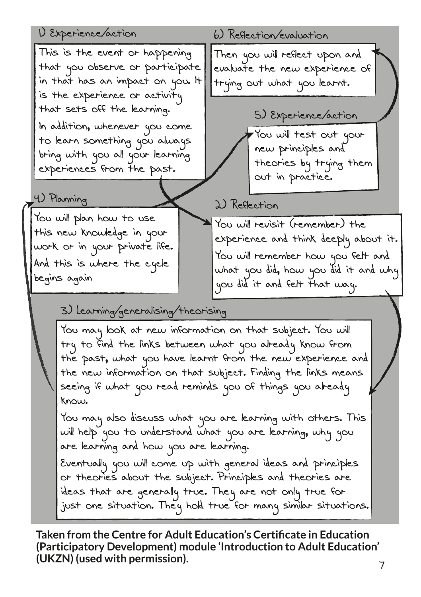### 1) Experience/action

This is the event or happening that you observe or participate in that has an impact on you. It is the experience or activity that sets off the learning. In addition, whenever you come to learn something you always bring with you all your learning experiences from the past.

### 4) Planning

You will plan how to use this new knowledge in your work or in your private life. And this is where the cycle begins again

#### 6) Reflection/evaluation

Then you will reflect upon and evaluate the new experience of trying out what you learnt.

5) Experience/action

You will test out your new principles and theories by trying them out in practice.

#### 2) Reflection

You will revisit (remember) the experience and think deeply about it. You will remember how you felt and what you did, how you did it and why you did it and felt that way.

### 3) Learning/generalising/theorising

You may look at new information on that subject. You will try to find the links between what you already know from the past, what you have learnt from the new experience and the new information on that subject. Finding the links means seeing if what you read reminds you of things you already know.

You may also discuss what you are learning with others. This will help you to understand what you are learning, why you are learning and how you are learning.

Eventually you will come up with general ideas and principles or theories about the subject. Principles and theories are ideas that are generally true. They are not only true for just one situation. They hold true for many similar situations.

**Taken from the Centre for Adult Education's Certificate in Education (Participatory Development) module 'Introduction to Adult Education' (UKZN) (used with permission).**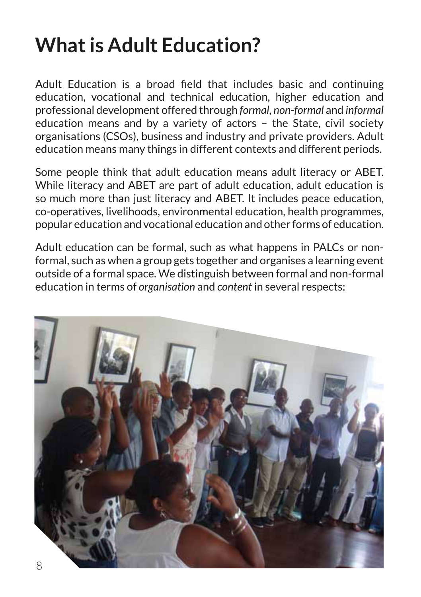## **What is Adult Education?**

Adult Education is a broad field that includes basic and continuing education, vocational and technical education, higher education and professional development offered through *formal, non-formal* and *informal* education means and by a variety of actors – the State, civil society organisations (CSOs), business and industry and private providers. Adult education means many things in different contexts and different periods.

Some people think that adult education means adult literacy or ABET. While literacy and ABET are part of adult education, adult education is so much more than just literacy and ABET. It includes peace education, co-operatives, livelihoods, environmental education, health programmes, popular education and vocational education and other forms of education.

Adult education can be formal, such as what happens in PALCs or nonformal, such as when a group gets together and organises a learning event outside of a formal space. We distinguish between formal and non-formal education in terms of *organisation* and *content* in several respects:

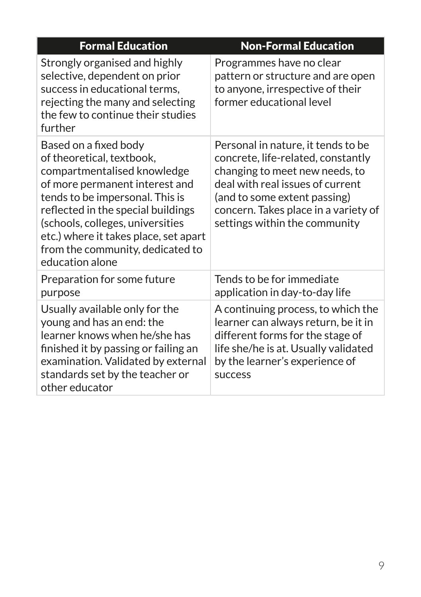| <b>Formal Education</b>                                                                                                                                                                                                                                                                                                          | <b>Non-Formal Education</b>                                                                                                                                                                                                                             |
|----------------------------------------------------------------------------------------------------------------------------------------------------------------------------------------------------------------------------------------------------------------------------------------------------------------------------------|---------------------------------------------------------------------------------------------------------------------------------------------------------------------------------------------------------------------------------------------------------|
| Strongly organised and highly<br>selective, dependent on prior<br>success in educational terms,<br>rejecting the many and selecting<br>the few to continue their studies<br>further                                                                                                                                              | Programmes have no clear<br>pattern or structure and are open<br>to anyone, irrespective of their<br>former educational level                                                                                                                           |
| Based on a fixed body<br>of theoretical, textbook,<br>compartmentalised knowledge<br>of more permanent interest and<br>tends to be impersonal. This is<br>reflected in the special buildings<br>(schools, colleges, universities<br>etc.) where it takes place, set apart<br>from the community, dedicated to<br>education alone | Personal in nature, it tends to be<br>concrete, life-related, constantly<br>changing to meet new needs, to<br>deal with real issues of current<br>(and to some extent passing)<br>concern. Takes place in a variety of<br>settings within the community |
| Preparation for some future<br>purpose                                                                                                                                                                                                                                                                                           | Tends to be for immediate<br>application in day-to-day life                                                                                                                                                                                             |
| Usually available only for the<br>young and has an end: the<br>learner knows when he/she has<br>finished it by passing or failing an<br>examination. Validated by external<br>standards set by the teacher or<br>other educator                                                                                                  | A continuing process, to which the<br>learner can always return, be it in<br>different forms for the stage of<br>life she/he is at. Usually validated<br>by the learner's experience of<br><b>SUCCESS</b>                                               |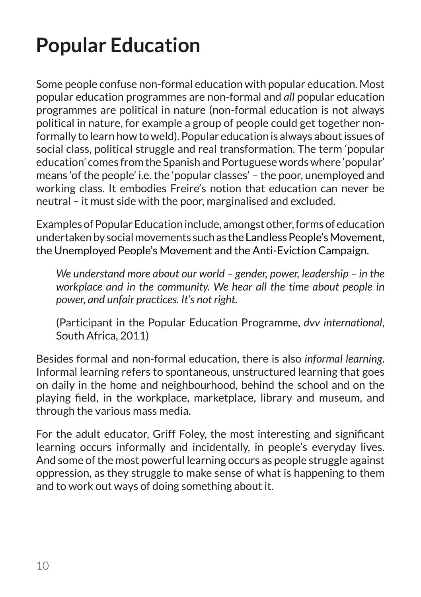## **Popular Education**

Some people confuse non-formal education with popular education. Most popular education programmes are non-formal and *all* popular education programmes are political in nature (non-formal education is not always political in nature, for example a group of people could get together nonformally to learn how to weld). Popular education is always about issues of social class, political struggle and real transformation. The term 'popular education' comes from the Spanish and Portuguese words where 'popular' means 'of the people' i.e. the 'popular classes' – the poor, unemployed and working class. It embodies Freire's notion that education can never be neutral – it must side with the poor, marginalised and excluded.

Examples of Popular Education include, amongst other, forms of education undertaken by social movements such as the Landless People's Movement, the Unemployed People's Movement and the Anti-Eviction Campaign.

*We understand more about our world – gender, power, leadership – in the workplace and in the community. We hear all the time about people in power, and unfair practices. It's not right.*

(Participant in the Popular Education Programme, *dvv international*, South Africa, 2011)

Besides formal and non-formal education, there is also *informal learning*. Informal learning refers to spontaneous, unstructured learning that goes on daily in the home and neighbourhood, behind the school and on the playing field, in the workplace, marketplace, library and museum, and through the various mass media.

For the adult educator, Griff Foley, the most interesting and significant learning occurs informally and incidentally, in people's everyday lives. And some of the most powerful learning occurs as people struggle against oppression, as they struggle to make sense of what is happening to them and to work out ways of doing something about it.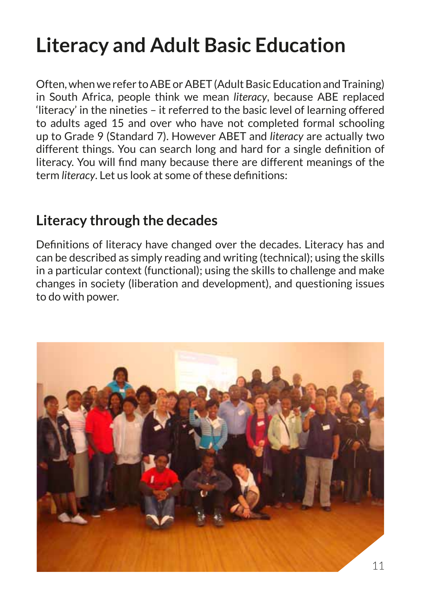## **Literacy and Adult Basic Education**

Often, when we refer to ABE or ABET (Adult Basic Education and Training) in South Africa, people think we mean *literacy*, because ABE replaced 'literacy' in the nineties – it referred to the basic level of learning offered to adults aged 15 and over who have not completed formal schooling up to Grade 9 (Standard 7). However ABET and *literacy* are actually two different things. You can search long and hard for a single definition of literacy. You will find many because there are different meanings of the term *literacy*. Let us look at some of these definitions:

## **Literacy through the decades**

Definitions of literacy have changed over the decades. Literacy has and can be described as simply reading and writing (technical); using the skills in a particular context (functional); using the skills to challenge and make changes in society (liberation and development), and questioning issues to do with power.

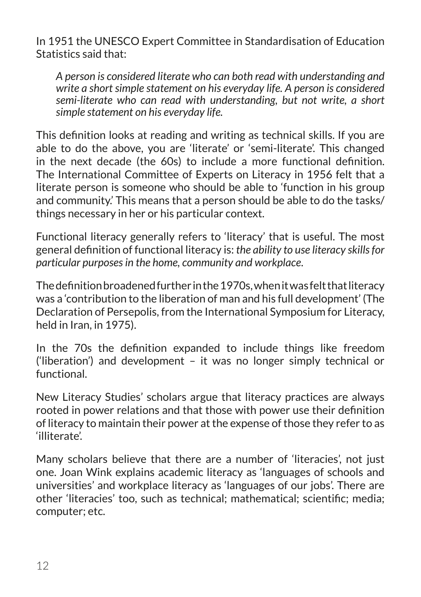In 1951 the UNESCO Expert Committee in Standardisation of Education Statistics said that:

*A person is considered literate who can both read with understanding and write a short simple statement on his everyday life. A person is considered semi-literate who can read with understanding, but not write, a short simple statement on his everyday life.*

This definition looks at reading and writing as technical skills. If you are able to do the above, you are 'literate' or 'semi-literate'. This changed in the next decade (the 60s) to include a more functional definition. The International Committee of Experts on Literacy in 1956 felt that a literate person is someone who should be able to 'function in his group and community.' This means that a person should be able to do the tasks/ things necessary in her or his particular context.

Functional literacy generally refers to 'literacy' that is useful. The most general definition of functional literacy is: *the ability to use literacy skills for particular purposes in the home, community and workplace*.

The definition broadened further in the 1970s, when it was felt that literacy was a 'contribution to the liberation of man and his full development' (The Declaration of Persepolis, from the International Symposium for Literacy, held in Iran, in 1975).

In the 70s the definition expanded to include things like freedom ('liberation') and development – it was no longer simply technical or functional.

New Literacy Studies' scholars argue that literacy practices are always rooted in power relations and that those with power use their definition of literacy to maintain their power at the expense of those they refer to as 'illiterate'.

Many scholars believe that there are a number of 'literacies', not just one. Joan Wink explains academic literacy as 'languages of schools and universities' and workplace literacy as 'languages of our jobs'. There are other 'literacies' too, such as technical; mathematical; scientific; media; computer; etc.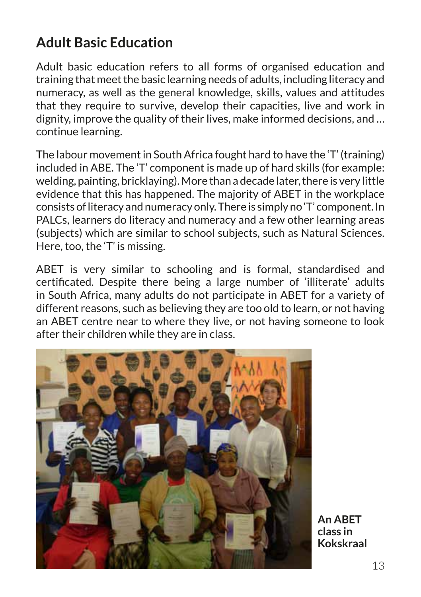## **Adult Basic Education**

Adult basic education refers to all forms of organised education and training that meet the basic learning needs of adults, including literacy and numeracy, as well as the general knowledge, skills, values and attitudes that they require to survive, develop their capacities, live and work in dignity, improve the quality of their lives, make informed decisions, and … continue learning.

The labour movement in South Africa fought hard to have the 'T' (training) included in ABE. The 'T' component is made up of hard skills (for example: welding, painting, bricklaying). More than a decade later, there is very little evidence that this has happened. The majority of ABET in the workplace consists of literacy and numeracy only. There is simply no 'T' component. In PALCs, learners do literacy and numeracy and a few other learning areas (subjects) which are similar to school subjects, such as Natural Sciences. Here, too, the 'T' is missing.

ABET is very similar to schooling and is formal, standardised and certificated. Despite there being a large number of 'illiterate' adults in South Africa, many adults do not participate in ABET for a variety of different reasons, such as believing they are too old to learn, or not having an ABET centre near to where they live, or not having someone to look after their children while they are in class.



**An ABET class in Kokskraal**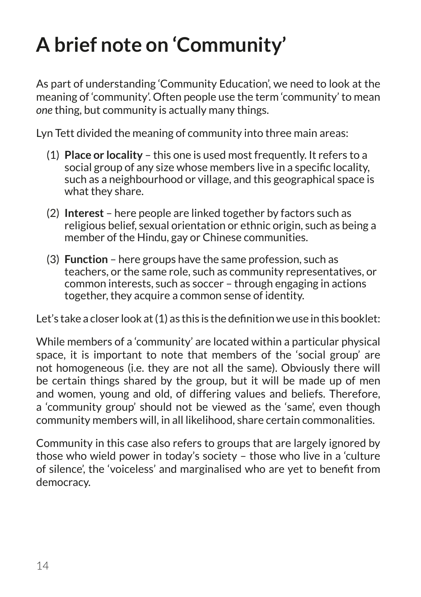## **A brief note on 'Community'**

As part of understanding 'Community Education', we need to look at the meaning of 'community'. Often people use the term 'community' to mean *one* thing, but community is actually many things.

Lyn Tett divided the meaning of community into three main areas:

- (1) **Place or locality** this one is used most frequently. It refers to a social group of any size whose members live in a specific locality, such as a neighbourhood or village, and this geographical space is what they share.
- (2) **Interest** here people are linked together by factors such as religious belief, sexual orientation or ethnic origin, such as being a member of the Hindu, gay or Chinese communities.
- (3) **Function** here groups have the same profession, such as teachers, or the same role, such as community representatives, or common interests, such as soccer – through engaging in actions together, they acquire a common sense of identity.

Let's take a closer look at (1) as this is the definition we use in this booklet:

While members of a 'community' are located within a particular physical space, it is important to note that members of the 'social group' are not homogeneous (i.e. they are not all the same). Obviously there will be certain things shared by the group, but it will be made up of men and women, young and old, of differing values and beliefs. Therefore, a 'community group' should not be viewed as the 'same', even though community members will, in all likelihood, share certain commonalities.

Community in this case also refers to groups that are largely ignored by those who wield power in today's society – those who live in a 'culture of silence', the 'voiceless' and marginalised who are yet to benefit from democracy.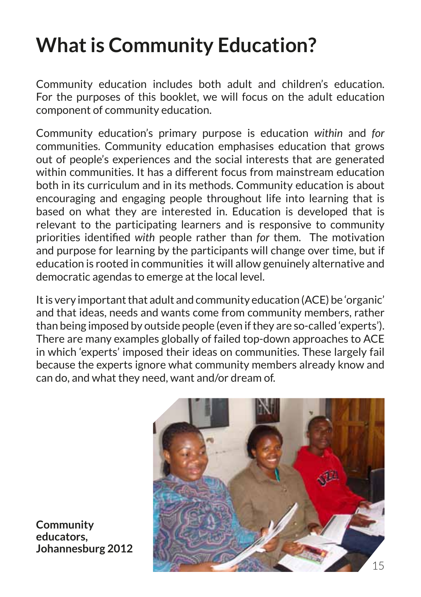## **What is Community Education?**

Community education includes both adult and children's education. For the purposes of this booklet, we will focus on the adult education component of community education.

Community education's primary purpose is education *within* and *for* communities. Community education emphasises education that grows out of people's experiences and the social interests that are generated within communities. It has a different focus from mainstream education both in its curriculum and in its methods. Community education is about encouraging and engaging people throughout life into learning that is based on what they are interested in. Education is developed that is relevant to the participating learners and is responsive to community priorities identified *with* people rather than *for* them. The motivation and purpose for learning by the participants will change over time, but if education is rooted in communities it will allow genuinely alternative and democratic agendas to emerge at the local level.

It is very important that adult and community education (ACE) be 'organic' and that ideas, needs and wants come from community members, rather than being imposed by outside people (even if they are so-called 'experts'). There are many examples globally of failed top-down approaches to ACE in which 'experts' imposed their ideas on communities. These largely fail because the experts ignore what community members already know and can do, and what they need, want and/or dream of.



**Community educators, Johannesburg 2012**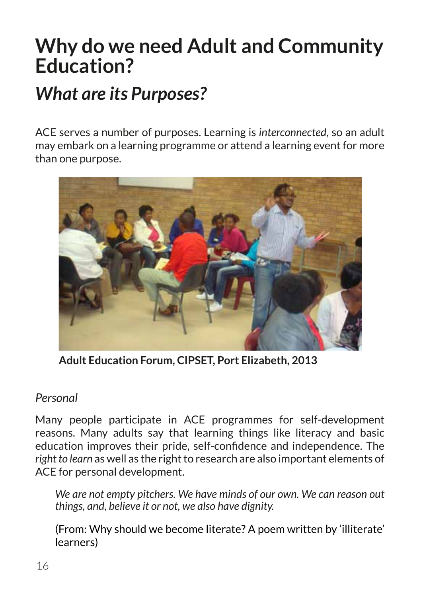## **Why do we need Adult and Community Education?**

## *What are its Purposes?*

ACE serves a number of purposes. Learning is *interconnected*, so an adult may embark on a learning programme or attend a learning event for more than one purpose.



**Adult Education Forum, CIPSET, Port Elizabeth, 2013**

### *Personal*

Many people participate in ACE programmes for self-development reasons. Many adults say that learning things like literacy and basic education improves their pride, self-confidence and independence. The *right to learn* as well as the right to research are also important elements of ACE for personal development.

*We are not empty pitchers. We have minds of our own. We can reason out things, and, believe it or not, we also have dignity.*

(From: Why should we become literate? A poem written by 'illiterate' learners)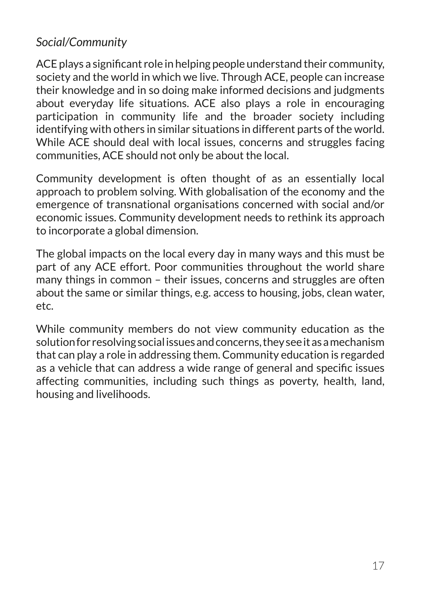### *Social/Community*

ACE plays a significant role in helping people understand their community, society and the world in which we live. Through ACE, people can increase their knowledge and in so doing make informed decisions and judgments about everyday life situations. ACE also plays a role in encouraging participation in community life and the broader society including identifying with others in similar situations in different parts of the world. While ACE should deal with local issues, concerns and struggles facing communities, ACE should not only be about the local.

Community development is often thought of as an essentially local approach to problem solving. With globalisation of the economy and the emergence of transnational organisations concerned with social and/or economic issues. Community development needs to rethink its approach to incorporate a global dimension.

The global impacts on the local every day in many ways and this must be part of any ACE effort. Poor communities throughout the world share many things in common – their issues, concerns and struggles are often about the same or similar things, e.g. access to housing, jobs, clean water, etc.

While community members do not view community education as the solution for resolving social issues and concerns, they see it as a mechanism that can play a role in addressing them. Community education is regarded as a vehicle that can address a wide range of general and specific issues affecting communities, including such things as poverty, health, land, housing and livelihoods.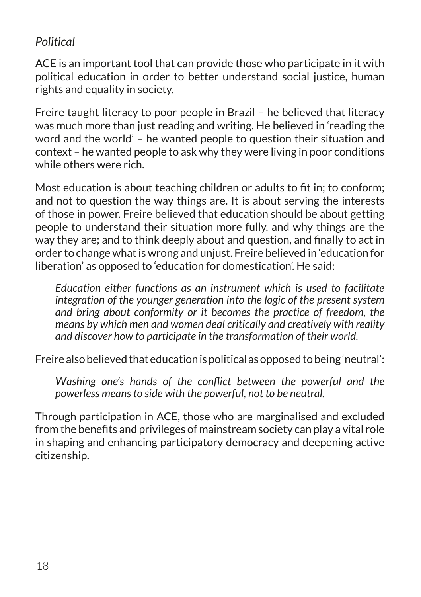### *Political*

ACE is an important tool that can provide those who participate in it with political education in order to better understand social justice, human rights and equality in society.

Freire taught literacy to poor people in Brazil – he believed that literacy was much more than just reading and writing. He believed in 'reading the word and the world' – he wanted people to question their situation and context – he wanted people to ask why they were living in poor conditions while others were rich.

Most education is about teaching children or adults to fit in; to conform; and not to question the way things are. It is about serving the interests of those in power. Freire believed that education should be about getting people to understand their situation more fully, and why things are the way they are; and to think deeply about and question, and finally to act in order to change what is wrong and unjust. Freire believed in 'education for liberation' as opposed to 'education for domestication'. He said:

*Education either functions as an instrument which is used to facilitate integration of the younger generation into the logic of the present system and bring about conformity or it becomes the practice of freedom, the means by which men and women deal critically and creatively with reality and discover how to participate in the transformation of their world.*

Freire also believed that education is political as opposed to being 'neutral':

*Washing one's hands of the conflict between the powerful and the powerless means to side with the powerful, not to be neutral.* 

Through participation in ACE, those who are marginalised and excluded from the benefits and privileges of mainstream society can play a vital role in shaping and enhancing participatory democracy and deepening active citizenship.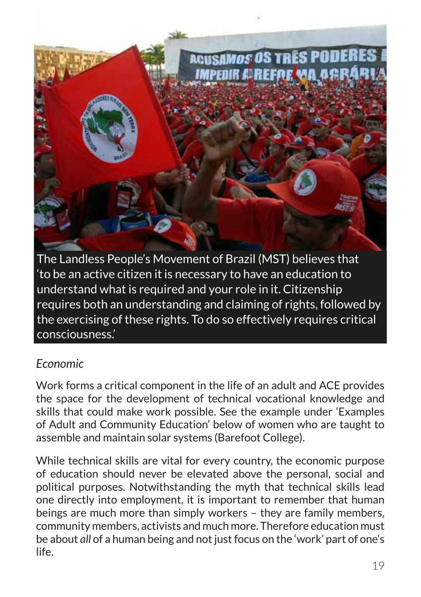

'to be an active citizen it is necessary to have an education to understand what is required and your role in it. Citizenship requires both an understanding and claiming of rights, followed by the exercising of these rights. To do so effectively requires critical consciousness.'

### *Economic*

Work forms a critical component in the life of an adult and ACE provides the space for the development of technical vocational knowledge and skills that could make work possible. See the example under 'Examples of Adult and Community Education' below of women who are taught to assemble and maintain solar systems (Barefoot College).

While technical skills are vital for every country, the economic purpose of education should never be elevated above the personal, social and political purposes. Notwithstanding the myth that technical skills lead one directly into employment, it is important to remember that human beings are much more than simply workers – they are family members, community members, activists and much more. Therefore education must be about *all* of a human being and not just focus on the 'work' part of one's life.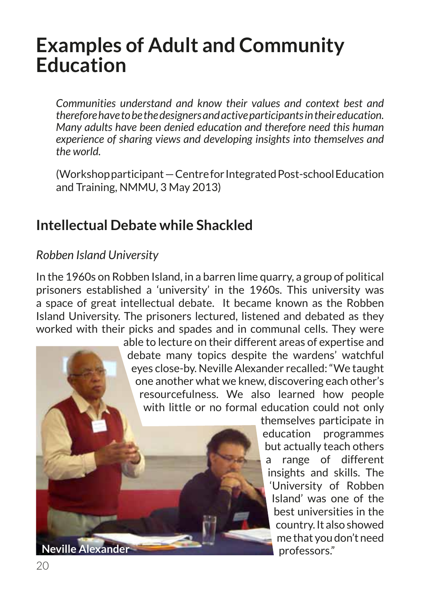## **Examples of Adult and Community Education**

*Communities understand and know their values and context best and therefore have to be the designers and active participants in their education. Many adults have been denied education and therefore need this human experience of sharing views and developing insights into themselves and the world.*

(Workshop participant — Centre for Integrated Post-school Education and Training, NMMU, 3 May 2013)

### **Intellectual Debate while Shackled**

### *Robben Island University*

In the 1960s on Robben Island, in a barren lime quarry, a group of political prisoners established a 'university' in the 1960s. This university was a space of great intellectual debate. It became known as the Robben Island University. The prisoners lectured, listened and debated as they worked with their picks and spades and in communal cells. They were

able to lecture on their different areas of expertise and debate many topics despite the wardens' watchful eyes close-by. Neville Alexander recalled: "We taught one another what we knew, discovering each other's resourcefulness. We also learned how people with little or no formal education could not only



themselves participate in education programmes but actually teach others a range of different insights and skills. The 'University of Robben Island' was one of the best universities in the country. It also showed me that you don't need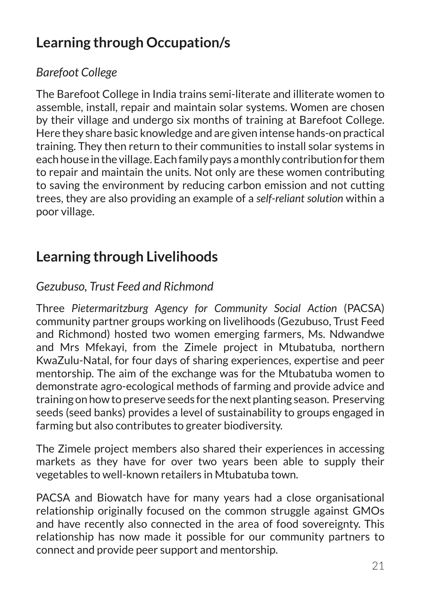## **Learning through Occupation/s**

### *Barefoot College*

The Barefoot College in India trains semi-literate and illiterate women to assemble, install, repair and maintain solar systems. Women are chosen by their village and undergo six months of training at Barefoot College. Here they share basic knowledge and are given intense hands-on practical training. They then return to their communities to install solar systems in each house in the village. Each family pays a monthly contribution for them to repair and maintain the units. Not only are these women contributing to saving the environment by reducing carbon emission and not cutting trees, they are also providing an example of a *self-reliant solution* within a poor village.

## **Learning through Livelihoods**

### *Gezubuso, Trust Feed and Richmond*

Three *Pietermaritzburg Agency for Community Social Action* (PACSA) community partner groups working on livelihoods (Gezubuso, Trust Feed and Richmond) hosted two women emerging farmers, Ms. Ndwandwe and Mrs Mfekayi, from the Zimele project in Mtubatuba, northern KwaZulu-Natal, for four days of sharing experiences, expertise and peer mentorship. The aim of the exchange was for the Mtubatuba women to demonstrate agro-ecological methods of farming and provide advice and training on how to preserve seeds for the next planting season. Preserving seeds (seed banks) provides a level of sustainability to groups engaged in farming but also contributes to greater biodiversity.

The Zimele project members also shared their experiences in accessing markets as they have for over two years been able to supply their vegetables to well-known retailers in Mtubatuba town.

PACSA and Biowatch have for many years had a close organisational relationship originally focused on the common struggle against GMOs and have recently also connected in the area of food sovereignty. This relationship has now made it possible for our community partners to connect and provide peer support and mentorship.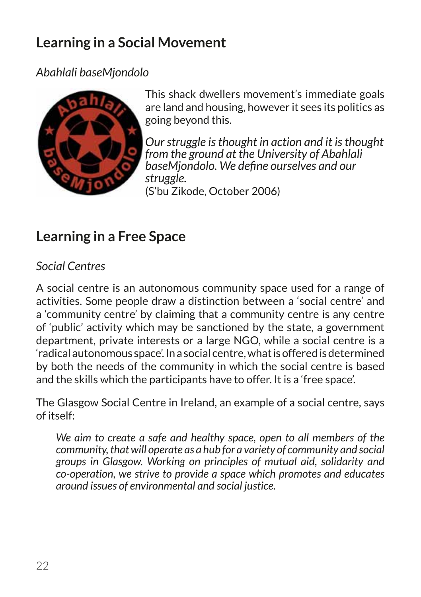## **Learning in a Social Movement**

*Abahlali baseMjondolo* 



This shack dwellers movement's immediate goals are land and housing, however it sees its politics as going beyond this.

*Our struggle is thought in action and it is thought from the ground at the University of Abahlali baseMjondolo. We define ourselves and our struggle.* (S'bu Zikode, October 2006)

## **Learning in a Free Space**

*Social Centres*

A social centre is an autonomous community space used for a range of activities. Some people draw a distinction between a 'social centre' and a 'community centre' by claiming that a community centre is any centre of 'public' activity which may be sanctioned by the state, a government department, private interests or a large NGO, while a social centre is a 'radical autonomous space'. In a social centre, what is offered is determined by both the needs of the community in which the social centre is based and the skills which the participants have to offer. It is a 'free space'.

The Glasgow Social Centre in Ireland, an example of a social centre, says of itself:

*We aim to create a safe and healthy space, open to all members of the community, that will operate as a hub for a variety of community and social groups in Glasgow. Working on principles of mutual aid, solidarity and co-operation, we strive to provide a space which promotes and educates around issues of environmental and social justice.*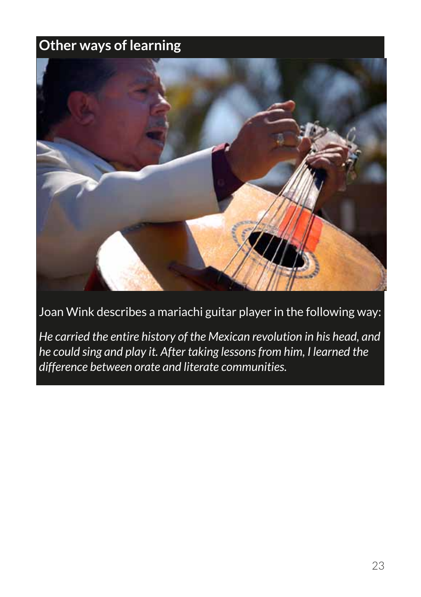## **Other ways of learning**



Joan Wink describes a mariachi guitar player in the following way:

*He carried the entire history of the Mexican revolution in his head, and he could sing and play it. After taking lessons from him, I learned the difference between orate and literate communities.*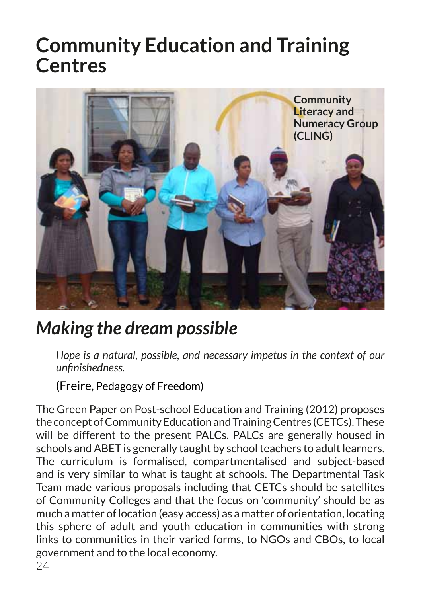## **Community Education and Training Centres**



## *Making the dream possible*

*Hope is a natural, possible, and necessary impetus in the context of our unfinishedness.*

(Freire, Pedagogy of Freedom)

The Green Paper on Post-school Education and Training (2012) proposes the concept of Community Education and Training Centres (CETCs). These will be different to the present PALCs. PALCs are generally housed in schools and ABET is generally taught by school teachers to adult learners. The curriculum is formalised, compartmentalised and subject-based and is very similar to what is taught at schools. The Departmental Task Team made various proposals including that CETCs should be satellites of Community Colleges and that the focus on 'community' should be as much a matter of location (easy access) as a matter of orientation, locating this sphere of adult and youth education in communities with strong links to communities in their varied forms, to NGOs and CBOs, to local government and to the local economy.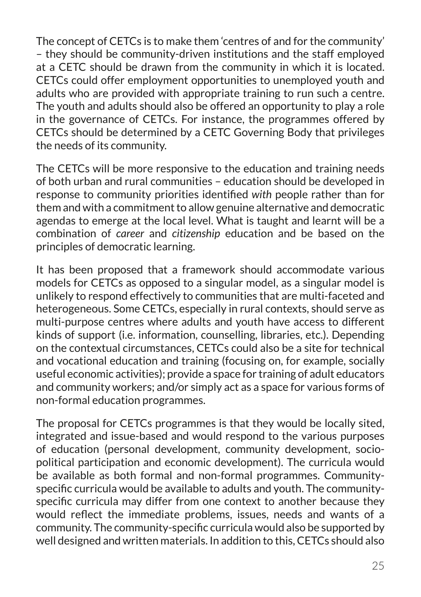The concept of CETCs is to make them 'centres of and for the community' – they should be community-driven institutions and the staff employed at a CETC should be drawn from the community in which it is located. CETCs could offer employment opportunities to unemployed youth and adults who are provided with appropriate training to run such a centre. The youth and adults should also be offered an opportunity to play a role in the governance of CETCs. For instance, the programmes offered by CETCs should be determined by a CETC Governing Body that privileges the needs of its community.

The CETCs will be more responsive to the education and training needs of both urban and rural communities – education should be developed in response to community priorities identified *with* people rather than for them and with a commitment to allow genuine alternative and democratic agendas to emerge at the local level. What is taught and learnt will be a combination of *career* and *citizenship* education and be based on the principles of democratic learning.

It has been proposed that a framework should accommodate various models for CETCs as opposed to a singular model, as a singular model is unlikely to respond effectively to communities that are multi-faceted and heterogeneous. Some CETCs, especially in rural contexts, should serve as multi-purpose centres where adults and youth have access to different kinds of support (i.e. information, counselling, libraries, etc.). Depending on the contextual circumstances, CETCs could also be a site for technical and vocational education and training (focusing on, for example, socially useful economic activities); provide a space for training of adult educators and community workers; and/or simply act as a space for various forms of non-formal education programmes.

The proposal for CETCs programmes is that they would be locally sited, integrated and issue-based and would respond to the various purposes of education (personal development, community development, sociopolitical participation and economic development). The curricula would be available as both formal and non-formal programmes. Communityspecific curricula would be available to adults and youth. The communityspecific curricula may differ from one context to another because they would reflect the immediate problems, issues, needs and wants of a community. The community-specific curricula would also be supported by well designed and written materials. In addition to this, CETCs should also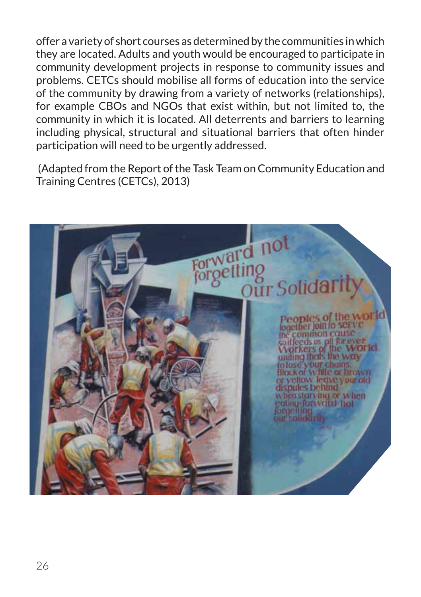offer a variety of short courses as determined by the communities in which they are located. Adults and youth would be encouraged to participate in community development projects in response to community issues and problems. CETCs should mobilise all forms of education into the service of the community by drawing from a variety of networks (relationships), for example CBOs and NGOs that exist within, but not limited to, the community in which it is located. All deterrents and barriers to learning including physical, structural and situational barriers that often hinder participation will need to be urgently addressed.

 (Adapted from the Report of the Task Team on Community Education and Training Centres (CETCs), 2013)

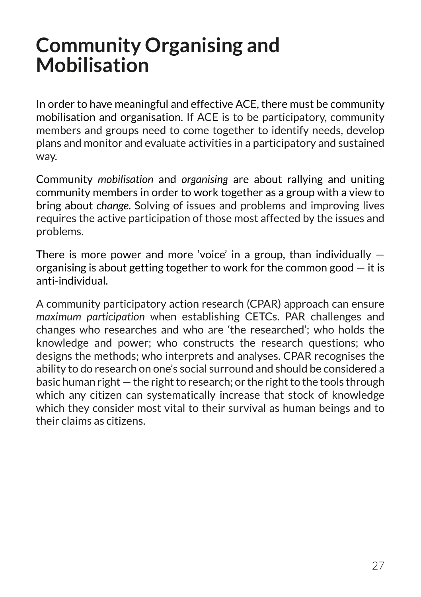## **Community Organising and Mobilisation**

In order to have meaningful and effective ACE, there must be community mobilisation and organisation. If ACE is to be participatory, community members and groups need to come together to identify needs, develop plans and monitor and evaluate activities in a participatory and sustained way.

Community *mobilisation* and *organising* are about rallying and uniting community members in order to work together as a group with a view to bring about *change*. Solving of issues and problems and improving lives requires the active participation of those most affected by the issues and problems.

There is more power and more 'voice' in a group, than individually  $$ organising is about getting together to work for the common good  $-$  it is anti-individual.

A community participatory action research (CPAR) approach can ensure *maximum participation* when establishing CETCs. PAR challenges and changes who researches and who are 'the researched'; who holds the knowledge and power; who constructs the research questions; who designs the methods; who interprets and analyses. CPAR recognises the ability to do research on one's social surround and should be considered a basic human right — the right to research; or the right to the tools through which any citizen can systematically increase that stock of knowledge which they consider most vital to their survival as human beings and to their claims as citizens.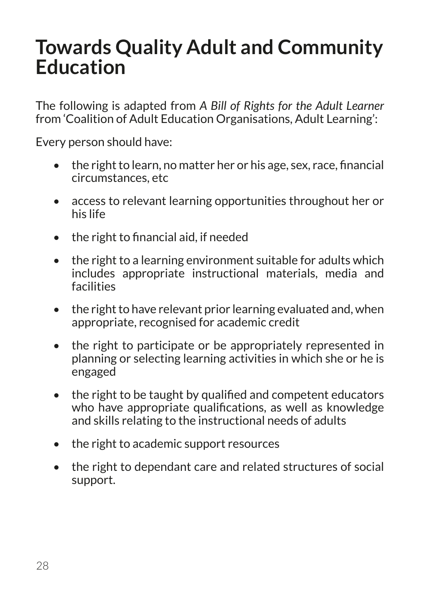## **Towards Quality Adult and Community Education**

The following is adapted from *A Bill of Rights for the Adult Learner* from 'Coalition of Adult Education Organisations, Adult Learning':

Every person should have:

- $\bullet$  the right to learn, no matter her or his age, sex, race, financial circumstances, etc
- access to relevant learning opportunities throughout her or his life
- the right to financial aid, if needed
- the right to a learning environment suitable for adults which includes appropriate instructional materials, media and facilities
- the right to have relevant prior learning evaluated and, when appropriate, recognised for academic credit
- the right to participate or be appropriately represented in planning or selecting learning activities in which she or he is engaged
- the right to be taught by qualified and competent educators who have appropriate qualifications, as well as knowledge and skills relating to the instructional needs of adults
- the right to academic support resources
- the right to dependant care and related structures of social support.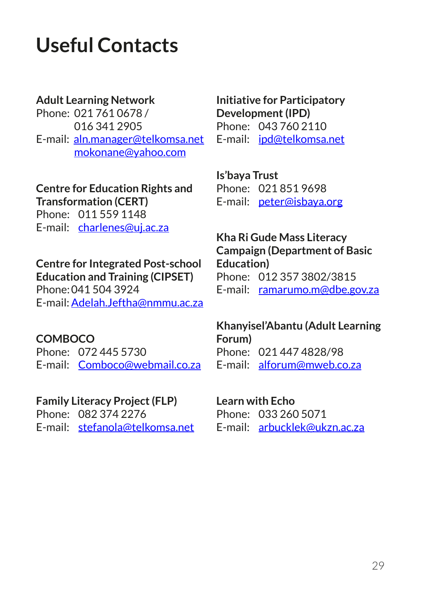## **Useful Contacts**

### **Adult Learning Network**

Phone: 021 761 0678 / 016 341 2905 E-mail: aln.manager@telkomsa.net mokonane@yahoo.com

#### **Centre for Education Rights and Transformation (CERT)**

Phone: 011 559 1148 E-mail: charlenes@uj.ac.za

## **Centre for Integrated Post-school**

**Education and Training (CIPSET)** Phone:041 504 3924 E-mail:Adelah.Jeftha@nmmu.ac.za

### **COMBOCO**

Phone: 072 445 5730 E-mail: Comboco@webmail.co.za

### **Family Literacy Project (FLP)**

Phone: 082 374 2276 E-mail: stefanola@telkomsa.net

### **Initiative for Participatory Development (IPD)** Phone: 043 760 2110 E-mail: ipd@telkomsa.net

**Is'baya Trust** Phone: 021 851 9698 E-mail: peter@isbaya.org

#### **Kha Ri Gude Mass Literacy Campaign (Department of Basic Education)** Phone: 012 357 3802/3815 E-mail: ramarumo.m@dbe.gov.za

### **Khanyisel'Abantu (Adult Learning Forum)** Phone: 021 447 4828/98

E-mail: alforum@mweb.co.za

#### **Learn with Echo**

Phone: 033 260 5071 E-mail: arbucklek@ukzn.ac.za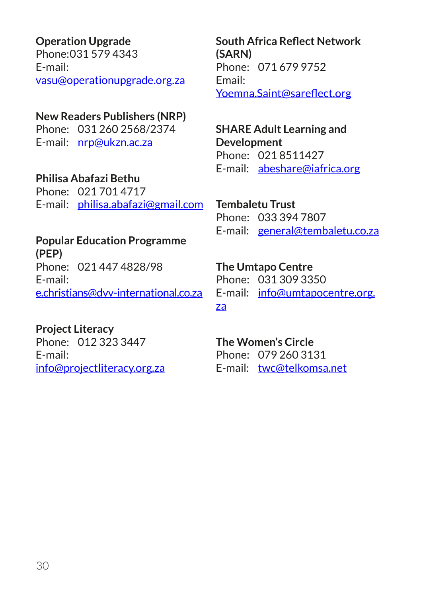### **Operation Upgrade**

Phone:031 579 4343 E-mail: vasu@operationupgrade.org.za

#### **New Readers Publishers (NRP)**

Phone: 031 260 2568/2374 E-mail: nrp@ukzn.ac.za

#### **Philisa Abafazi Bethu**

Phone: 021 701 4717 E-mail: philisa.abafazi@gmail.com

#### **Popular Education Programme (PEP)**

Phone: 021 447 4828/98 E-mail: e.christians@dvv-international.co.za

### **Project Literacy**

Phone: 012 323 3447 E-mail: info@projectliteracy.org.za

**South Africa Reflect Network (SARN)** Phone: 071 679 9752 Email: Yoemna.Saint@sareflect.org

### **SHARE Adult Learning and Development** Phone: 021 8511427

E-mail: abeshare@iafrica.org

**Tembaletu Trust** Phone: 033 394 7807 E-mail: general@tembaletu.co.za

#### **The Umtapo Centre**

Phone: 031 309 3350 E-mail: info@umtapocentre.org. za

#### **The Women's Circle**  Phone: 079 260 3131

E-mail: twc@telkomsa.net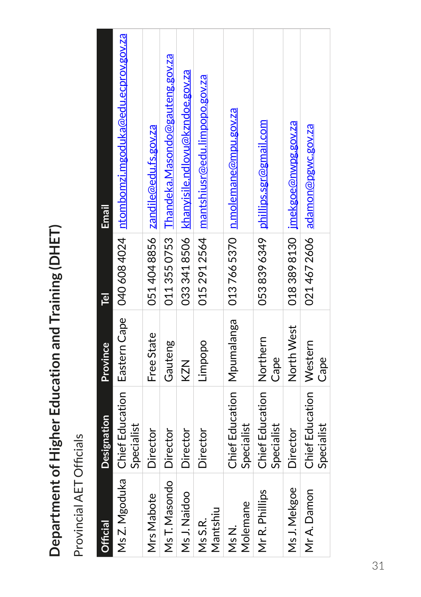| I                   |
|---------------------|
|                     |
|                     |
|                     |
|                     |
|                     |
|                     |
|                     |
|                     |
| .<br>או או או אי    |
|                     |
|                     |
| י באוויראוויראווירא |
|                     |
|                     |
|                     |
|                     |
|                     |
|                     |
|                     |
| )<br>3<br>7         |
|                     |
| )<br>S              |
|                     |
|                     |
|                     |
| -<br>-<br>-<br>-    |
|                     |
|                     |
|                     |
| ۱                   |
|                     |
|                     |
|                     |
| י<br>1              |
|                     |
|                     |
|                     |
|                     |
|                     |
|                     |
|                     |
| $\frac{1}{2}$       |
|                     |
|                     |
|                     |
| Ì<br>ı              |
|                     |

Provincial AET Officials Provincial AET Officials

| Official                      | <b>Designation</b>                           | Province   | $\overline{e}$ | Email                                                     |
|-------------------------------|----------------------------------------------|------------|----------------|-----------------------------------------------------------|
| Ms Z. Mgoduka                 | Chief Education   Eastern Cape<br>Specialist |            |                | 040 608 4024   <u>ntombomzi mgoduka@edu.ecprov.gov.za</u> |
| Mrs Mabote                    | Director                                     | Free State |                | 051 404 8856   <u>zandile@edu.fs.gov.za</u>               |
| Ms T. Masondo                 | Director                                     | Gauteng    |                | 011 355 0753   Thandeka Masondo@gauteng.gov.za            |
| Ms J. Naidoo                  | Director                                     | KZN        |                | 033 341 8506   khanyisile.ndlovu@kzndoe.gov.za            |
| Mantshiu<br>Ms S.R.           | Director                                     | Limpopo    |                | 015 291 2564   mantshiusr@edu.limpopo.gov.za              |
| Molemane<br>M <sub>S</sub> N. | Chief Education   Mpumalanga<br>Specialist   |            |                | 013 766 5370 n.molemane@mpu.gov.za                        |
| Mr R. Phillips                | Chief Education Northern<br>Specialist       | Cape       |                | 053 839 6349   phillips.sgr@gmail.com                     |
| Ms J. Mekgoe                  | Director                                     | North West |                | 018 389 8130   <u>imekgoe@nwpg.gov.za</u>                 |
| Mr A. Damon                   | Chief Education   Western<br>Specialist      | Cape       |                | 021 467 2606   adamon@pgwc.gov.za                         |